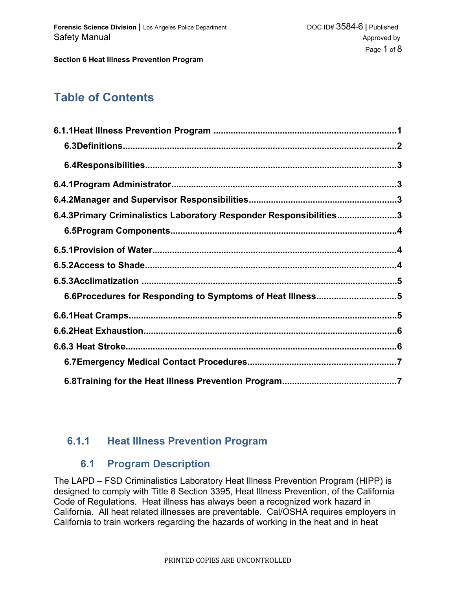# **Table of Contents**

| 6.4.3Primary Criminalistics Laboratory Responder Responsibilities3 |  |
|--------------------------------------------------------------------|--|
|                                                                    |  |
|                                                                    |  |
|                                                                    |  |
|                                                                    |  |
| 6.6Procedures for Responding to Symptoms of Heat Illness5          |  |
|                                                                    |  |
|                                                                    |  |
|                                                                    |  |
|                                                                    |  |
|                                                                    |  |

### **6.1.1 Heat Illness Prevention Program**

### **6.1 Program Description**

The LAPD – FSD Criminalistics Laboratory Heat Illness Prevention Program (HIPP) is designed to comply with Title 8 Section 3395, Heat Illness Prevention, of the California Code of Regulations. Heat illness has always been a recognized work hazard in California. All heat related illnesses are preventable. Cal/OSHA requires employers in California to train workers regarding the hazards of working in the heat and in heat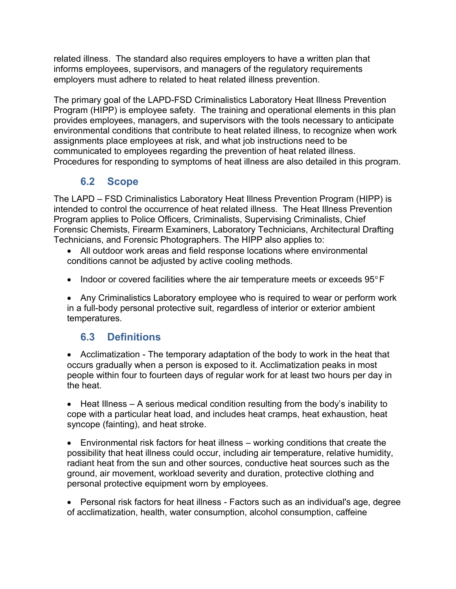related illness. The standard also requires employers to have a written plan that informs employees, supervisors, and managers of the regulatory requirements employers must adhere to related to heat related illness prevention.

The primary goal of the LAPD-FSD Criminalistics Laboratory Heat Illness Prevention Program (HIPP) is employee safety. The training and operational elements in this plan provides employees, managers, and supervisors with the tools necessary to anticipate environmental conditions that contribute to heat related illness, to recognize when work assignments place employees at risk, and what job instructions need to be communicated to employees regarding the prevention of heat related illness. Procedures for responding to symptoms of heat illness are also detailed in this program.

# **6.2 Scope**

The LAPD – FSD Criminalistics Laboratory Heat Illness Prevention Program (HIPP) is intended to control the occurrence of heat related illness. The Heat Illness Prevention Program applies to Police Officers, Criminalists, Supervising Criminalists, Chief Forensic Chemists, Firearm Examiners, Laboratory Technicians, Architectural Drafting Technicians, and Forensic Photographers. The HIPP also applies to:

- All outdoor work areas and field response locations where environmental conditions cannot be adjusted by active cooling methods.
- Indoor or covered facilities where the air temperature meets or exceeds  $95^{\circ}$  F

 Any Criminalistics Laboratory employee who is required to wear or perform work in a full-body personal protective suit, regardless of interior or exterior ambient temperatures.

# **6.3 Definitions**

 Acclimatization - The temporary adaptation of the body to work in the heat that occurs gradually when a person is exposed to it. Acclimatization peaks in most people within four to fourteen days of regular work for at least two hours per day in the heat.

• Heat Illness – A serious medical condition resulting from the body's inability to cope with a particular heat load, and includes heat cramps, heat exhaustion, heat syncope (fainting), and heat stroke.

 Environmental risk factors for heat illness – working conditions that create the possibility that heat illness could occur, including air temperature, relative humidity, radiant heat from the sun and other sources, conductive heat sources such as the ground, air movement, workload severity and duration, protective clothing and personal protective equipment worn by employees.

 Personal risk factors for heat illness - Factors such as an individual's age, degree of acclimatization, health, water consumption, alcohol consumption, caffeine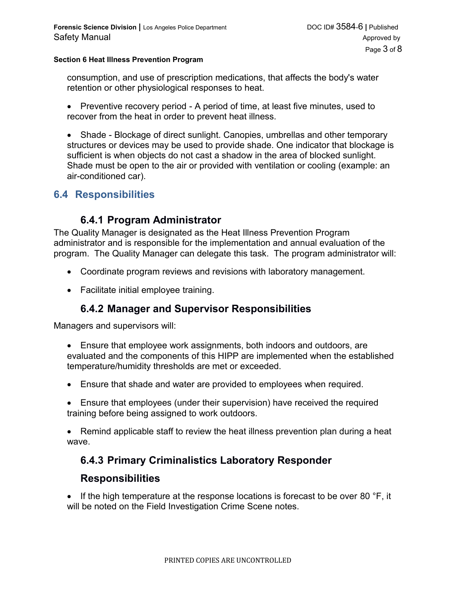consumption, and use of prescription medications, that affects the body's water retention or other physiological responses to heat.

• Preventive recovery period - A period of time, at least five minutes, used to recover from the heat in order to prevent heat illness.

• Shade - Blockage of direct sunlight. Canopies, umbrellas and other temporary structures or devices may be used to provide shade. One indicator that blockage is sufficient is when objects do not cast a shadow in the area of blocked sunlight. Shade must be open to the air or provided with ventilation or cooling (example: an air-conditioned car).

#### **6.4 Responsibilities**

#### **6.4.1 Program Administrator**

The Quality Manager is designated as the Heat Illness Prevention Program administrator and is responsible for the implementation and annual evaluation of the program. The Quality Manager can delegate this task. The program administrator will:

- Coordinate program reviews and revisions with laboratory management.
- Facilitate initial employee training.

### **6.4.2 Manager and Supervisor Responsibilities**

Managers and supervisors will:

- Ensure that employee work assignments, both indoors and outdoors, are evaluated and the components of this HIPP are implemented when the established temperature/humidity thresholds are met or exceeded.
- Ensure that shade and water are provided to employees when required.
- Ensure that employees (under their supervision) have received the required training before being assigned to work outdoors.

 Remind applicable staff to review the heat illness prevention plan during a heat wave.

### **6.4.3 Primary Criminalistics Laboratory Responder**

#### **Responsibilities**

If the high temperature at the response locations is forecast to be over 80  $\degree$ F, it will be noted on the Field Investigation Crime Scene notes.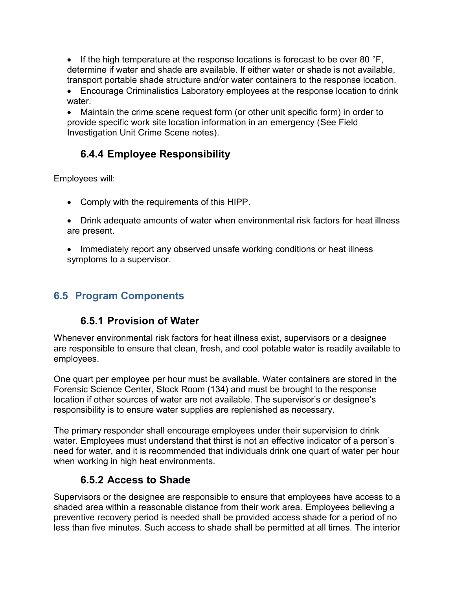If the high temperature at the response locations is forecast to be over 80  $\degree$ F, determine if water and shade are available. If either water or shade is not available, transport portable shade structure and/or water containers to the response location.

 Encourage Criminalistics Laboratory employees at the response location to drink water.

 Maintain the crime scene request form (or other unit specific form) in order to provide specific work site location information in an emergency (See Field Investigation Unit Crime Scene notes).

# **6.4.4 Employee Responsibility**

Employees will:

- Comply with the requirements of this HIPP.
- Drink adequate amounts of water when environmental risk factors for heat illness are present.
- Immediately report any observed unsafe working conditions or heat illness symptoms to a supervisor.

# **6.5 Program Components**

# **6.5.1 Provision of Water**

Whenever environmental risk factors for heat illness exist, supervisors or a designee are responsible to ensure that clean, fresh, and cool potable water is readily available to employees.

One quart per employee per hour must be available. Water containers are stored in the Forensic Science Center, Stock Room (134) and must be brought to the response location if other sources of water are not available. The supervisor's or designee's responsibility is to ensure water supplies are replenished as necessary.

The primary responder shall encourage employees under their supervision to drink water. Employees must understand that thirst is not an effective indicator of a person's need for water, and it is recommended that individuals drink one quart of water per hour when working in high heat environments.

# **6.5.2 Access to Shade**

Supervisors or the designee are responsible to ensure that employees have access to a shaded area within a reasonable distance from their work area. Employees believing a preventive recovery period is needed shall be provided access shade for a period of no less than five minutes. Such access to shade shall be permitted at all times. The interior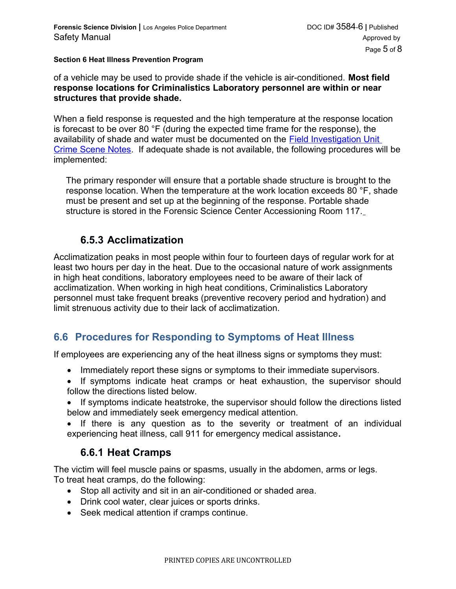of a vehicle may be used to provide shade if the vehicle is air-conditioned. **Most field response locations for Criminalistics Laboratory personnel are within or near structures that provide shade.**

When a field response is requested and the high temperature at the response location is forecast to be over 80 °F (during the expected time frame for the response), the availability of shade and water must be documented on the [Field Investigation Unit](http://10.250.71.210/Qualtrax/ShowDocument.aspx?ID=3256)  [Crime Scene Notes.](http://10.250.71.210/Qualtrax/ShowDocument.aspx?ID=3256) If adequate shade is not available, the following procedures will be implemented:

The primary responder will ensure that a portable shade structure is brought to the response location. When the temperature at the work location exceeds 80 °F, shade must be present and set up at the beginning of the response. Portable shade structure is stored in the Forensic Science Center Accessioning Room 117.

#### **6.5.3 Acclimatization**

Acclimatization peaks in most people within four to fourteen days of regular work for at least two hours per day in the heat. Due to the occasional nature of work assignments in high heat conditions, laboratory employees need to be aware of their lack of acclimatization. When working in high heat conditions, Criminalistics Laboratory personnel must take frequent breaks (preventive recovery period and hydration) and limit strenuous activity due to their lack of acclimatization.

# **6.6 Procedures for Responding to Symptoms of Heat Illness**

If employees are experiencing any of the heat illness signs or symptoms they must:

- Immediately report these signs or symptoms to their immediate supervisors.
- If symptoms indicate heat cramps or heat exhaustion, the supervisor should follow the directions listed below.
- If symptoms indicate heatstroke, the supervisor should follow the directions listed below and immediately seek emergency medical attention.
- If there is any question as to the severity or treatment of an individual experiencing heat illness, call 911 for emergency medical assistance**.**

### **6.6.1 Heat Cramps**

The victim will feel muscle pains or spasms, usually in the abdomen, arms or legs. To treat heat cramps, do the following:

- Stop all activity and sit in an air-conditioned or shaded area.
- Drink cool water, clear juices or sports drinks.
- Seek medical attention if cramps continue.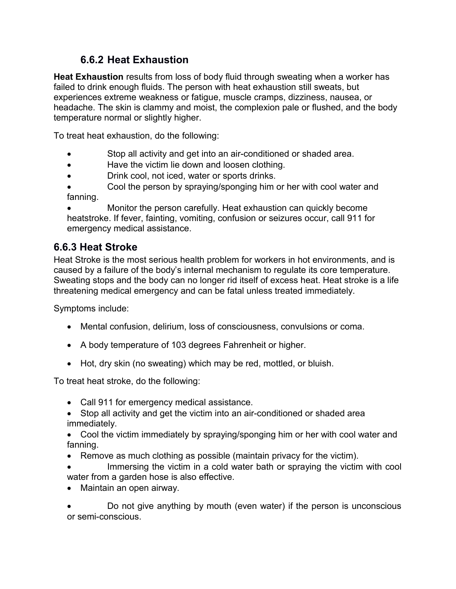# **6.6.2 Heat Exhaustion**

**Heat Exhaustion** results from loss of body fluid through sweating when a worker has failed to drink enough fluids. The person with heat exhaustion still sweats, but experiences extreme weakness or fatigue, muscle cramps, dizziness, nausea, or headache. The skin is clammy and moist, the complexion pale or flushed, and the body temperature normal or slightly higher.

To treat heat exhaustion, do the following:

- Stop all activity and get into an air-conditioned or shaded area.
- Have the victim lie down and loosen clothing.
- Drink cool, not iced, water or sports drinks.
- Cool the person by spraying/sponging him or her with cool water and fanning.

 Monitor the person carefully. Heat exhaustion can quickly become heatstroke. If fever, fainting, vomiting, confusion or seizures occur, call 911 for emergency medical assistance.

# **6.6.3 Heat Stroke**

Heat Stroke is the most serious health problem for workers in hot environments, and is caused by a failure of the body's internal mechanism to regulate its core temperature. Sweating stops and the body can no longer rid itself of excess heat. Heat stroke is a life threatening medical emergency and can be fatal unless treated immediately.

Symptoms include:

- Mental confusion, delirium, loss of consciousness, convulsions or coma.
- A body temperature of 103 degrees Fahrenheit or higher.
- Hot, dry skin (no sweating) which may be red, mottled, or bluish.

To treat heat stroke, do the following:

- Call 911 for emergency medical assistance.
- Stop all activity and get the victim into an air-conditioned or shaded area immediately.
- Cool the victim immediately by spraying/sponging him or her with cool water and fanning.
- Remove as much clothing as possible (maintain privacy for the victim).
- Immersing the victim in a cold water bath or spraying the victim with cool water from a garden hose is also effective.
- Maintain an open airway.

 Do not give anything by mouth (even water) if the person is unconscious or semi-conscious.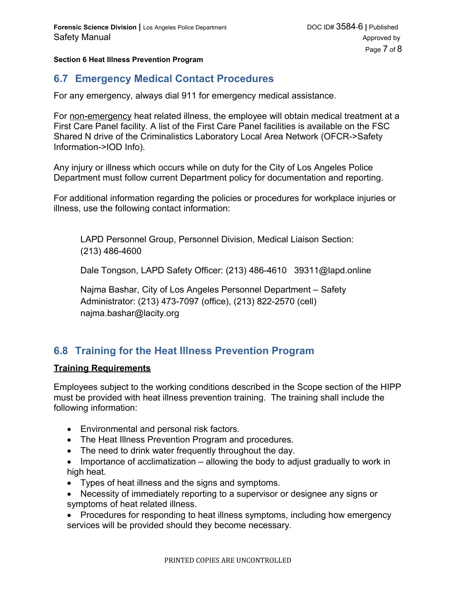### **6.7 Emergency Medical Contact Procedures**

For any emergency, always dial 911 for emergency medical assistance.

For non-emergency heat related illness, the employee will obtain medical treatment at a First Care Panel facility. A list of the First Care Panel facilities is available on the FSC Shared N drive of the Criminalistics Laboratory Local Area Network (OFCR->Safety Information->IOD Info).

Any injury or illness which occurs while on duty for the City of Los Angeles Police Department must follow current Department policy for documentation and reporting.

For additional information regarding the policies or procedures for workplace injuries or illness, use the following contact information:

LAPD Personnel Group, Personnel Division, Medical Liaison Section: (213) 486-4600

Dale Tongson, LAPD Safety Officer: (213) 486-4610 39311@lapd.online

Najma Bashar, City of Los Angeles Personnel Department – Safety Administrator: (213) 473-7097 (office), (213) 822-2570 (cell) najma.bashar@lacity.org

# **6.8 Training for the Heat Illness Prevention Program**

#### **Training Requirements**

Employees subject to the working conditions described in the Scope section of the HIPP must be provided with heat illness prevention training. The training shall include the following information:

- Environmental and personal risk factors.
- The Heat Illness Prevention Program and procedures.
- The need to drink water frequently throughout the day.
- $\bullet$  Importance of acclimatization allowing the body to adjust gradually to work in high heat.
- Types of heat illness and the signs and symptoms.
- Necessity of immediately reporting to a supervisor or designee any signs or symptoms of heat related illness.
- Procedures for responding to heat illness symptoms, including how emergency services will be provided should they become necessary.